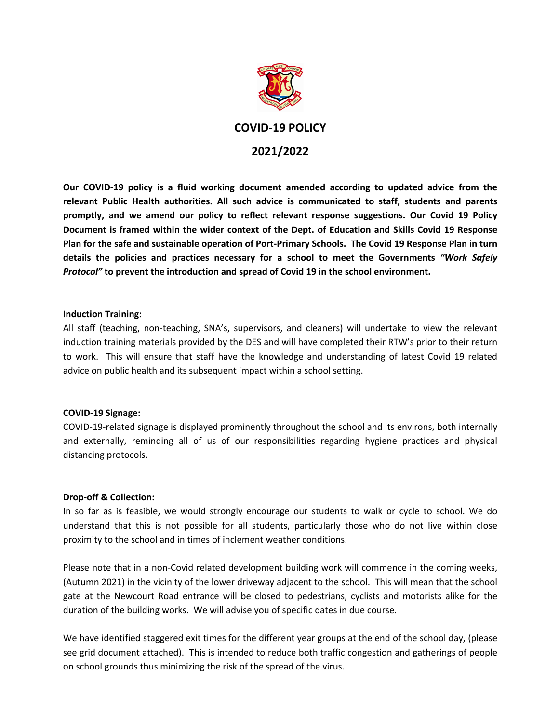

# **COVID-19 POLICY 2021/2022**

**Our COVID-19 policy is a fluid working document amended according to updated advice from the relevant Public Health authorities. All such advice is communicated to staff, students and parents promptly, and we amend our policy to reflect relevant response suggestions. Our Covid 19 Policy Document is framed within the wider context of the Dept. of Education and Skills Covid 19 Response Plan for the safe and sustainable operation of Port-Primary Schools. The Covid 19 Response Plan in turn details the policies and practices necessary for a school to meet the Governments** *"Work Safely Protocol"* **to prevent the introduction and spread of Covid 19 in the school environment.**

# **Induction Training:**

All staff (teaching, non-teaching, SNA's, supervisors, and cleaners) will undertake to view the relevant induction training materials provided by the DES and will have completed their RTW's prior to their return to work. This will ensure that staff have the knowledge and understanding of latest Covid 19 related advice on public health and its subsequent impact within a school setting.

# **COVID-19 Signage:**

COVID-19-related signage is displayed prominently throughout the school and its environs, both internally and externally, reminding all of us of our responsibilities regarding hygiene practices and physical distancing protocols.

# **Drop-off & Collection:**

In so far as is feasible, we would strongly encourage our students to walk or cycle to school. We do understand that this is not possible for all students, particularly those who do not live within close proximity to the school and in times of inclement weather conditions.

Please note that in a non-Covid related development building work will commence in the coming weeks, (Autumn 2021) in the vicinity of the lower driveway adjacent to the school. This will mean that the school gate at the Newcourt Road entrance will be closed to pedestrians, cyclists and motorists alike for the duration of the building works. We will advise you of specific dates in due course.

We have identified staggered exit times for the different year groups at the end of the school day, (please see grid document attached). This is intended to reduce both traffic congestion and gatherings of people on school grounds thus minimizing the risk of the spread of the virus.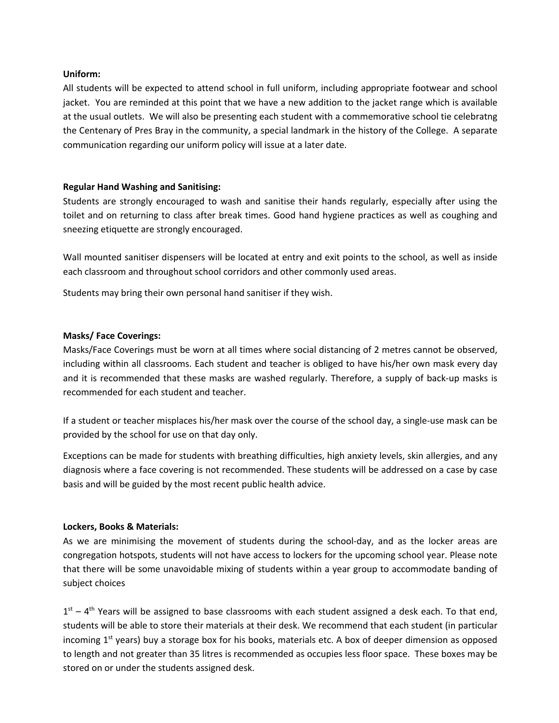## **Uniform:**

All students will be expected to attend school in full uniform, including appropriate footwear and school jacket. You are reminded at this point that we have a new addition to the jacket range which is available at the usual outlets. We will also be presenting each student with a commemorative school tie celebratng the Centenary of Pres Bray in the community, a special landmark in the history of the College. A separate communication regarding our uniform policy will issue at a later date.

## **Regular Hand Washing and Sanitising:**

Students are strongly encouraged to wash and sanitise their hands regularly, especially after using the toilet and on returning to class after break times. Good hand hygiene practices as well as coughing and sneezing etiquette are strongly encouraged.

Wall mounted sanitiser dispensers will be located at entry and exit points to the school, as well as inside each classroom and throughout school corridors and other commonly used areas.

Students may bring their own personal hand sanitiser if they wish.

## **Masks/ Face Coverings:**

Masks/Face Coverings must be worn at all times where social distancing of 2 metres cannot be observed, including within all classrooms. Each student and teacher is obliged to have his/her own mask every day and it is recommended that these masks are washed regularly. Therefore, a supply of back-up masks is recommended for each student and teacher.

If a student or teacher misplaces his/her mask over the course of the school day, a single-use mask can be provided by the school for use on that day only.

Exceptions can be made for students with breathing difficulties, high anxiety levels, skin allergies, and any diagnosis where a face covering is not recommended. These students will be addressed on a case by case basis and will be guided by the most recent public health advice.

#### **Lockers, Books & Materials:**

As we are minimising the movement of students during the school-day, and as the locker areas are congregation hotspots, students will not have access to lockers for the upcoming school year. Please note that there will be some unavoidable mixing of students within a year group to accommodate banding of subject choices

 $1<sup>st</sup> - 4<sup>th</sup>$  Years will be assigned to base classrooms with each student assigned a desk each. To that end, students will be able to store their materials at their desk. We recommend that each student (in particular incoming  $1<sup>st</sup>$  years) buy a storage box for his books, materials etc. A box of deeper dimension as opposed to length and not greater than 35 litres is recommended as occupies less floor space. These boxes may be stored on or under the students assigned desk.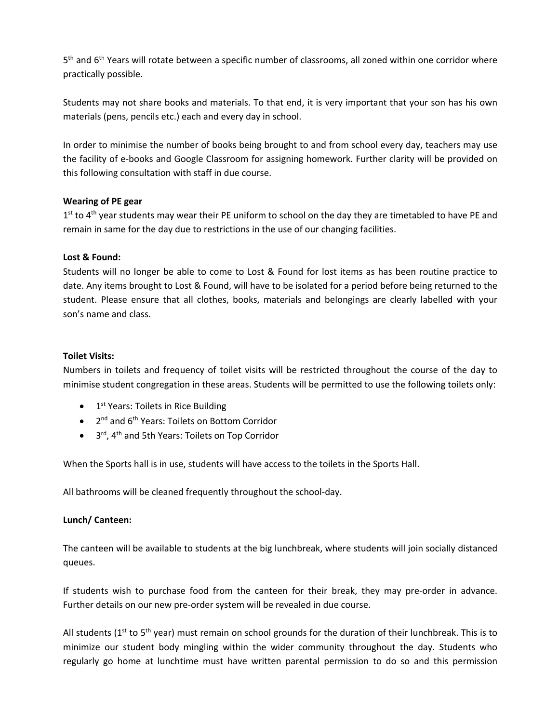5<sup>th</sup> and 6<sup>th</sup> Years will rotate between a specific number of classrooms, all zoned within one corridor where practically possible.

Students may not share books and materials. To that end, it is very important that your son has his own materials (pens, pencils etc.) each and every day in school.

In order to minimise the number of books being brought to and from school every day, teachers may use the facility of e-books and Google Classroom for assigning homework. Further clarity will be provided on this following consultation with staff in due course.

# **Wearing of PE gear**

1<sup>st</sup> to 4<sup>th</sup> year students may wear their PE uniform to school on the day they are timetabled to have PE and remain in same for the day due to restrictions in the use of our changing facilities.

# **Lost & Found:**

Students will no longer be able to come to Lost & Found for lost items as has been routine practice to date. Any items brought to Lost & Found, will have to be isolated for a period before being returned to the student. Please ensure that all clothes, books, materials and belongings are clearly labelled with your son's name and class.

# **Toilet Visits:**

Numbers in toilets and frequency of toilet visits will be restricted throughout the course of the day to minimise student congregation in these areas. Students will be permitted to use the following toilets only:

- $\bullet$  1<sup>st</sup> Years: Toilets in Rice Building
- 2<sup>nd</sup> and 6<sup>th</sup> Years: Toilets on Bottom Corridor
- 3<sup>rd</sup>, 4<sup>th</sup> and 5th Years: Toilets on Top Corridor

When the Sports hall is in use, students will have access to the toilets in the Sports Hall.

All bathrooms will be cleaned frequently throughout the school-day.

# **Lunch/ Canteen:**

The canteen will be available to students at the big lunchbreak, where students will join socially distanced queues.

If students wish to purchase food from the canteen for their break, they may pre-order in advance. Further details on our new pre-order system will be revealed in due course.

All students ( $1<sup>st</sup>$  to  $5<sup>th</sup>$  year) must remain on school grounds for the duration of their lunchbreak. This is to minimize our student body mingling within the wider community throughout the day. Students who regularly go home at lunchtime must have written parental permission to do so and this permission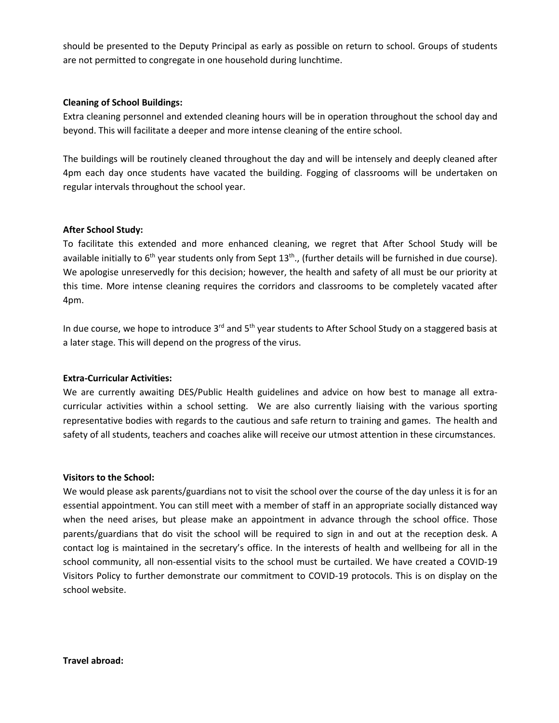should be presented to the Deputy Principal as early as possible on return to school. Groups of students are not permitted to congregate in one household during lunchtime.

# **Cleaning of School Buildings:**

Extra cleaning personnel and extended cleaning hours will be in operation throughout the school day and beyond. This will facilitate a deeper and more intense cleaning of the entire school.

The buildings will be routinely cleaned throughout the day and will be intensely and deeply cleaned after 4pm each day once students have vacated the building. Fogging of classrooms will be undertaken on regular intervals throughout the school year.

## **After School Study:**

To facilitate this extended and more enhanced cleaning, we regret that After School Study will be available initially to  $6<sup>th</sup>$  year students only from Sept  $13<sup>th</sup>$ ., (further details will be furnished in due course). We apologise unreservedly for this decision; however, the health and safety of all must be our priority at this time. More intense cleaning requires the corridors and classrooms to be completely vacated after 4pm.

In due course, we hope to introduce  $3^{rd}$  and  $5^{th}$  year students to After School Study on a staggered basis at a later stage. This will depend on the progress of the virus.

# **Extra-Curricular Activities:**

We are currently awaiting DES/Public Health guidelines and advice on how best to manage all extracurricular activities within a school setting. We are also currently liaising with the various sporting representative bodies with regards to the cautious and safe return to training and games. The health and safety of all students, teachers and coaches alike will receive our utmost attention in these circumstances.

#### **Visitors to the School:**

We would please ask parents/guardians not to visit the school over the course of the day unless it is for an essential appointment. You can still meet with a member of staff in an appropriate socially distanced way when the need arises, but please make an appointment in advance through the school office. Those parents/guardians that do visit the school will be required to sign in and out at the reception desk. A contact log is maintained in the secretary's office. In the interests of health and wellbeing for all in the school community, all non-essential visits to the school must be curtailed. We have created a COVID-19 Visitors Policy to further demonstrate our commitment to COVID-19 protocols. This is on display on the school website.